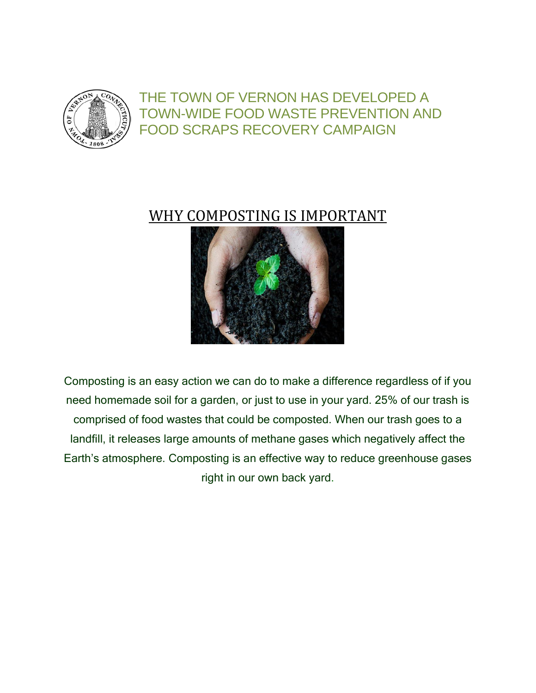

## THE TOWN OF VERNON HAS DEVELOPED A TOWN-WIDE FOOD WASTE PREVENTION AND FOOD SCRAPS RECOVERY CAMPAIGN

## WHY COMPOSTING IS IMPORTANT



Composting is an easy action we can do to make a difference regardless of if you need homemade soil for a garden, or just to use in your yard. 25% of our trash is comprised of food wastes that could be composted. When our trash goes to a landfill, it releases large amounts of methane gases which negatively affect the Earth's atmosphere. Composting is an effective way to reduce greenhouse gases right in our own back yard.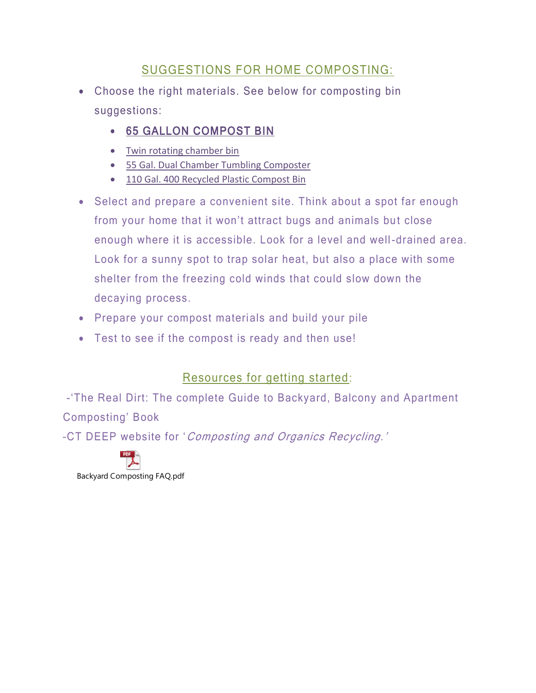#### SUGGESTIONS FOR HOME COMPOSTING:

- Choose the right materials. See below for composting bin suggestions:
	- [65 GALLON COMPOST BIN](https://www.hayneedle.com/product/10cubicfootredmongreencultureplasticcompostbin.cfm)
	- Twin rotating chamber bin
	- [55 Gal. Dual Chamber Tumbling Composter](https://www.walmart.com/ip/Miracle-Gro-55-Gal-Dual-Chamber-Tumbling-Composter-Multicolor/49302069?wmlspartner=wlpa&selectedSellerId=1172&adid=22222222227038615305&wl0=&wl1=g&wl2=c&wl3=92171088377&wl4=aud-566049426705:pla-183820133777&wl5=9003205&wl6=&wl7=&wl8=&wl9=pla&wl10=8453398&wl11=online&wl12=49302069&veh=sem&gclid=Cj0KCQiAt_PuBRDcARIsAMNlBdrE98ELUmK_nu37LjDquMoVqttJooRougG5OYKXrcQXrl-fngIKtHYaAimmEALw_wcB)
	- [110 Gal. 400 Recycled Plastic Compost Bin](https://www.walmart.com/ip/Exaco-Eco-King-110-Gal-400-Recycled-Plastic-Compost-Bin-Green/44629856?wmlspartner=wlpa&selectedSellerId=1172&adid=22222222227031969878&wl0=&wl1=g&wl2=c&wl3=61118511056&wl4=aud-566049426705:pla-108513979256&wl5=9003205&wl6=&wl7=&wl8=&wl9=pla&wl10=8453398&wl11=online&wl12=44629856&veh=sem&gclid=Cj0KCQiAt_PuBRDcARIsAMNlBdrMwqP-TW6y7GXXurtByJswkW_hcVM4PRCc0oHGjcOWDxH_k-jb6o8aAjOAEALw_wcB)
- Select and prepare a convenient site. Think about a spot far enough from your home that it won't attract bugs and animals but close enough where it is accessible. Look for a level and well-drained area. Look for a sunny spot to trap solar heat, but also a place with some shelter from the freezing cold winds that could slow down the decaying process.
- Prepare your compost materials and build your pile
- Test to see if the compost is ready and then use!

### Resources for getting started:

-'The Real Dirt: The complete Guide to Backyard, Balcony and Apartment Composting' Book –CT DEEP website for 'Composting and Organics Recycling.'

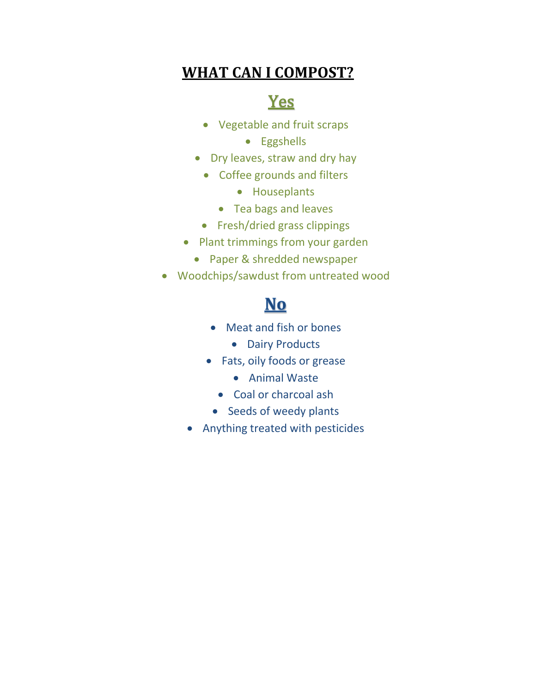## **WHAT CAN I COMPOST?**

# **Yes**

- Vegetable and fruit scraps
	- **•** Eggshells
- Dry leaves, straw and dry hay
	- Coffee grounds and filters
		- Houseplants
		- Tea bags and leaves
	- Fresh/dried grass clippings
- Plant trimmings from your garden
	- Paper & shredded newspaper
- Woodchips/sawdust from untreated wood

# **No**

- Meat and fish or bones
	- Dairy Products
- Fats, oily foods or grease
	- Animal Waste
	- Coal or charcoal ash
	- Seeds of weedy plants
- Anything treated with pesticides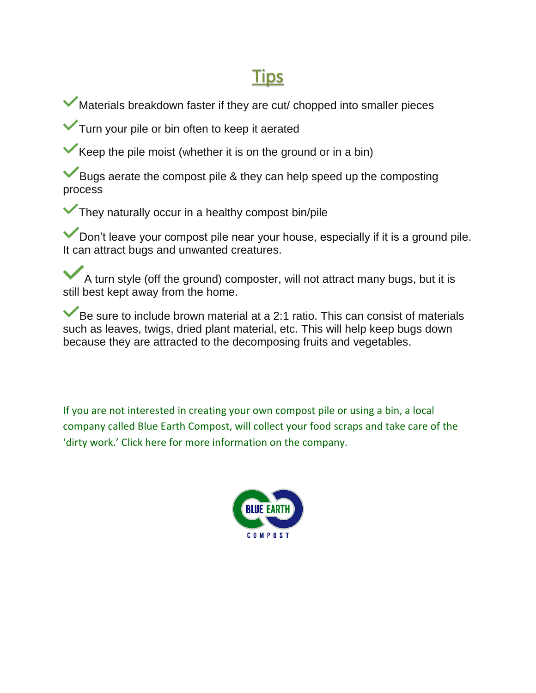# **Tips**

Materials breakdown faster if they are cut/ chopped into smaller pieces

**Turn your pile or bin often to keep it aerated** 

Keep the pile moist (whether it is on the ground or in a bin)

Bugs aerate the compost pile & they can help speed up the composting process

They naturally occur in a healthy compost bin/pile

Don't leave your compost pile near your house, especially if it is a ground pile. It can attract bugs and unwanted creatures.

A turn style (off the ground) composter, will not attract many bugs, but it is still best kept away from the home.

Be sure to include brown material at a 2:1 ratio. This can consist of materials such as leaves, twigs, dried plant material, etc. This will help keep bugs down because they are attracted to the decomposing fruits and vegetables.

If you are not interested in creating your own compost pile or using a bin, a local company called Blue Earth Compost, will collect your food scraps and take care of the 'dirty work.' Click here for more information on the company.